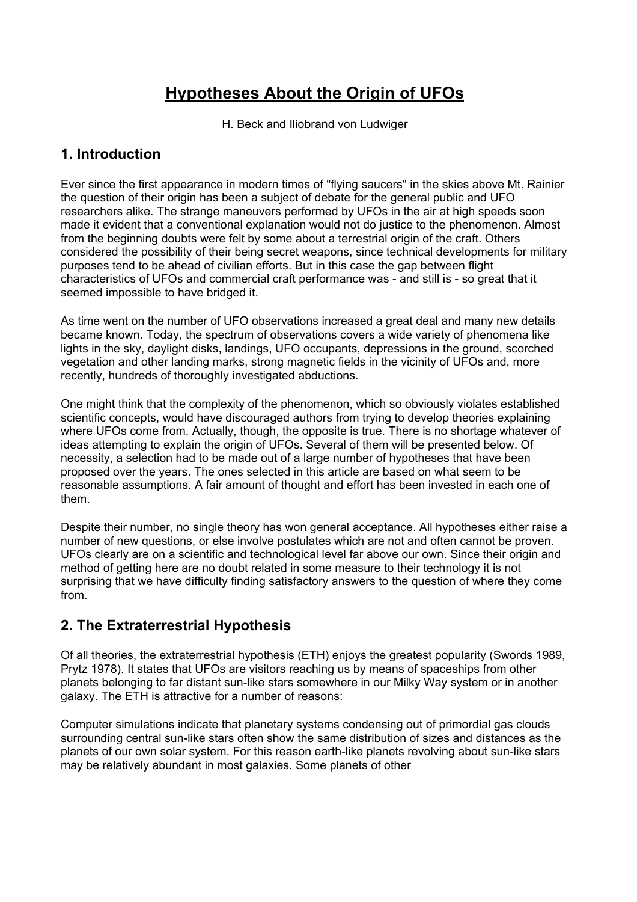# **Hypotheses About the Origin of UFOs**

H. Beck and Iliobrand von Ludwiger

# **1. Introduction**

Ever since the first appearance in modern times of "flying saucers" in the skies above Mt. Rainier the question of their origin has been a subject of debate for the general public and UFO researchers alike. The strange maneuvers performed by UFOs in the air at high speeds soon made it evident that a conventional explanation would not do justice to the phenomenon. Almost from the beginning doubts were felt by some about a terrestrial origin of the craft. Others considered the possibility of their being secret weapons, since technical developments for military purposes tend to be ahead of civilian efforts. But in this case the gap between flight characteristics of UFOs and commercial craft performance was - and still is - so great that it seemed impossible to have bridged it.

As time went on the number of UFO observations increased a great deal and many new details became known. Today, the spectrum of observations covers a wide variety of phenomena like lights in the sky, daylight disks, landings, UFO occupants, depressions in the ground, scorched vegetation and other landing marks, strong magnetic fields in the vicinity of UFOs and, more recently, hundreds of thoroughly investigated abductions.

One might think that the complexity of the phenomenon, which so obviously violates established scientific concepts, would have discouraged authors from trying to develop theories explaining where UFOs come from. Actually, though, the opposite is true. There is no shortage whatever of ideas attempting to explain the origin of UFOs. Several of them will be presented below. Of necessity, a selection had to be made out of a large number of hypotheses that have been proposed over the years. The ones selected in this article are based on what seem to be reasonable assumptions. A fair amount of thought and effort has been invested in each one of them.

Despite their number, no single theory has won general acceptance. All hypotheses either raise a number of new questions, or else involve postulates which are not and often cannot be proven. UFOs clearly are on a scientific and technological level far above our own. Since their origin and method of getting here are no doubt related in some measure to their technology it is not surprising that we have difficulty finding satisfactory answers to the question of where they come from.

# **2. The Extraterrestrial Hypothesis**

Of all theories, the extraterrestrial hypothesis (ETH) enjoys the greatest popularity (Swords 1989, Prytz 1978). It states that UFOs are visitors reaching us by means of spaceships from other planets belonging to far distant sun-like stars somewhere in our Milky Way system or in another galaxy. The ETH is attractive for a number of reasons:

Computer simulations indicate that planetary systems condensing out of primordial gas clouds surrounding central sun-like stars often show the same distribution of sizes and distances as the planets of our own solar system. For this reason earth-like planets revolving about sun-like stars may be relatively abundant in most galaxies. Some planets of other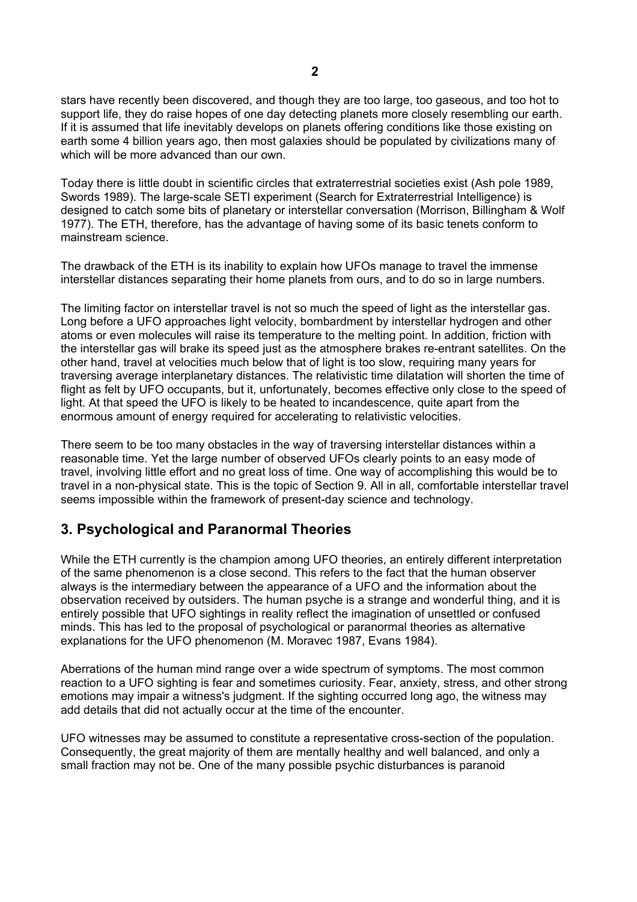stars have recently been discovered, and though they are too large, too gaseous, and too hot to support life, they do raise hopes of one day detecting planets more closely resembling our earth. If it is assumed that life inevitably develops on planets offering conditions like those existing on earth some 4 billion years ago, then most galaxies should be populated by civilizations many of which will be more advanced than our own.

Today there is little doubt in scientific circles that extraterrestrial societies exist (Ash pole 1989, Swords 1989). The large-scale SETI experiment (Search for Extraterrestrial Intelligence) is designed to catch some bits of planetary or interstellar conversation (Morrison, Billingham & Wolf 1977). The ETH, therefore, has the advantage of having some of its basic tenets conform to mainstream science.

The drawback of the ETH is its inability to explain how UFOs manage to travel the immense interstellar distances separating their home planets from ours, and to do so in large numbers.

The limiting factor on interstellar travel is not so much the speed of light as the interstellar gas. Long before a UFO approaches light velocity, bombardment by interstellar hydrogen and other atoms or even molecules will raise its temperature to the melting point. In addition, friction with the interstellar gas will brake its speed just as the atmosphere brakes re-entrant satellites. On the other hand, travel at velocities much below that of light is too slow, requiring many years for traversing average interplanetary distances. The relativistic time dilatation will shorten the time of flight as felt by UFO occupants, but it, unfortunately, becomes effective only close to the speed of light. At that speed the UFO is likely to be heated to incandescence, quite apart from the enormous amount of energy required for accelerating to relativistic velocities.

There seem to be too many obstacles in the way of traversing interstellar distances within a reasonable time. Yet the large number of observed UFOs clearly points to an easy mode of travel, involving little effort and no great loss of time. One way of accomplishing this would be to travel in a non-physical state. This is the topic of Section 9. All in all, comfortable interstellar travel seems impossible within the framework of present-day science and technology.

## **3. Psychological and Paranormal Theories**

While the ETH currently is the champion among UFO theories, an entirely different interpretation of the same phenomenon is a close second. This refers to the fact that the human observer always is the intermediary between the appearance of a UFO and the information about the observation received by outsiders. The human psyche is a strange and wonderful thing, and it is entirely possible that UFO sightings in reality reflect the imagination of unsettled or confused minds. This has led to the proposal of psychological or paranormal theories as alternative explanations for the UFO phenomenon (M. Moravec 1987, Evans 1984).

Aberrations of the human mind range over a wide spectrum of symptoms. The most common reaction to a UFO sighting is fear and sometimes curiosity. Fear, anxiety, stress, and other strong emotions may impair a witness's judgment. If the sighting occurred long ago, the witness may add details that did not actually occur at the time of the encounter.

UFO witnesses may be assumed to constitute a representative cross-section of the population. Consequently, the great majority of them are mentally healthy and well balanced, and only a small fraction may not be. One of the many possible psychic disturbances is paranoid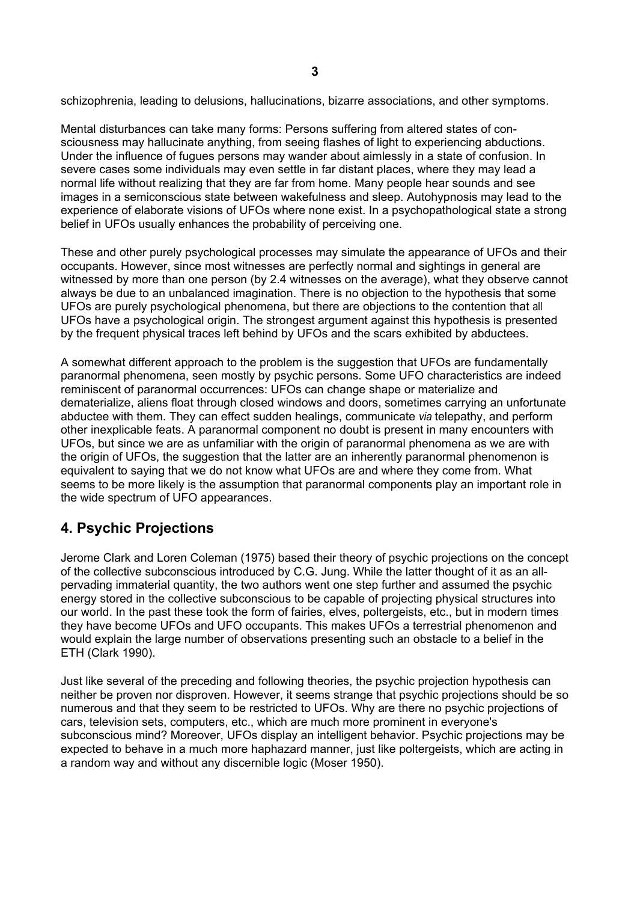schizophrenia, leading to delusions, hallucinations, bizarre associations, and other symptoms.

Mental disturbances can take many forms: Persons suffering from altered states of consciousness may hallucinate anything, from seeing flashes of light to experiencing abductions. Under the influence of fugues persons may wander about aimlessly in a state of confusion. In severe cases some individuals may even settle in far distant places, where they may lead a normal life without realizing that they are far from home. Many people hear sounds and see images in a semiconscious state between wakefulness and sleep. Autohypnosis may lead to the experience of elaborate visions of UFOs where none exist. In a psychopathological state a strong belief in UFOs usually enhances the probability of perceiving one.

These and other purely psychological processes may simulate the appearance of UFOs and their occupants. However, since most witnesses are perfectly normal and sightings in general are witnessed by more than one person (by 2.4 witnesses on the average), what they observe cannot always be due to an unbalanced imagination. There is no objection to the hypothesis that some UFOs are purely psychological phenomena, but there are objections to the contention that all UFOs have a psychological origin. The strongest argument against this hypothesis is presented by the frequent physical traces left behind by UFOs and the scars exhibited by abductees.

A somewhat different approach to the problem is the suggestion that UFOs are fundamentally paranormal phenomena, seen mostly by psychic persons. Some UFO characteristics are indeed reminiscent of paranormal occurrences: UFOs can change shape or materialize and dematerialize, aliens float through closed windows and doors, sometimes carrying an unfortunate abductee with them. They can effect sudden healings, communicate *via* telepathy, and perform other inexplicable feats. A paranormal component no doubt is present in many encounters with UFOs, but since we are as unfamiliar with the origin of paranormal phenomena as we are with the origin of UFOs, the suggestion that the latter are an inherently paranormal phenomenon is equivalent to saying that we do not know what UFOs are and where they come from. What seems to be more likely is the assumption that paranormal components play an important role in the wide spectrum of UFO appearances.

# **4. Psychic Projections**

Jerome Clark and Loren Coleman (1975) based their theory of psychic projections on the concept of the collective subconscious introduced by C.G. Jung. While the latter thought of it as an allpervading immaterial quantity, the two authors went one step further and assumed the psychic energy stored in the collective subconscious to be capable of projecting physical structures into our world. In the past these took the form of fairies, elves, poltergeists, etc., but in modern times they have become UFOs and UFO occupants. This makes UFOs a terrestrial phenomenon and would explain the large number of observations presenting such an obstacle to a belief in the ETH (Clark 1990).

Just like several of the preceding and following theories, the psychic projection hypothesis can neither be proven nor disproven. However, it seems strange that psychic projections should be so numerous and that they seem to be restricted to UFOs. Why are there no psychic projections of cars, television sets, computers, etc., which are much more prominent in everyone's subconscious mind? Moreover, UFOs display an intelligent behavior. Psychic projections may be expected to behave in a much more haphazard manner, just like poltergeists, which are acting in a random way and without any discernible logic (Moser 1950).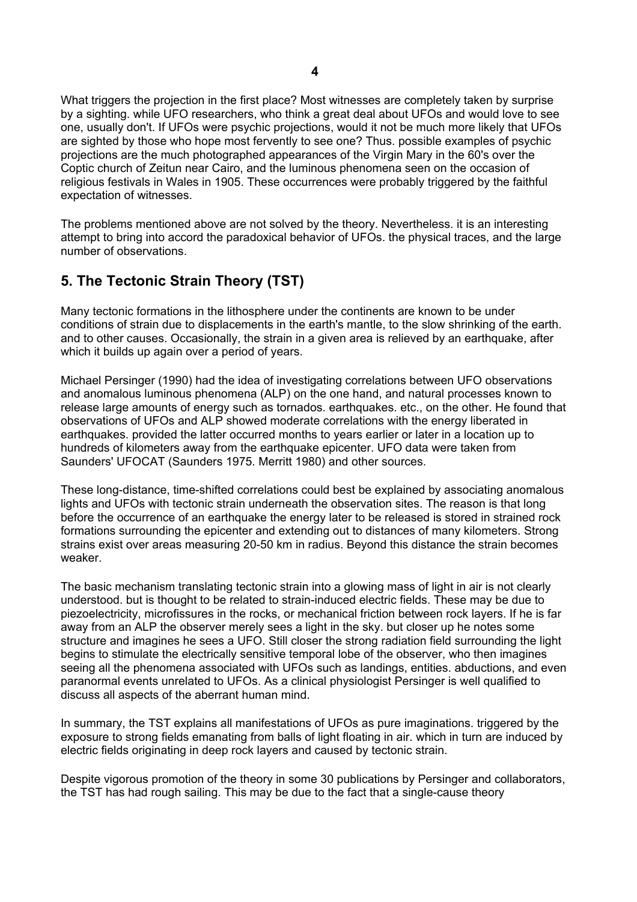What triggers the projection in the first place? Most witnesses are completely taken by surprise by a sighting. while UFO researchers, who think a great deal about UFOs and would love to see one, usually don't. If UFOs were psychic projections, would it not be much more likely that UFOs are sighted by those who hope most fervently to see one? Thus. possible examples of psychic projections are the much photographed appearances of the Virgin Mary in the 60's over the Coptic church of Zeitun near Cairo, and the luminous phenomena seen on the occasion of religious festivals in Wales in 1905. These occurrences were probably triggered by the faithful expectation of witnesses.

The problems mentioned above are not solved by the theory. Nevertheless. it is an interesting attempt to bring into accord the paradoxical behavior of UFOs. the physical traces, and the large number of observations.

# **5. The Tectonic Strain Theory (TST)**

Many tectonic formations in the lithosphere under the continents are known to be under conditions of strain due to displacements in the earth's mantle, to the slow shrinking of the earth. and to other causes. Occasionally, the strain in a given area is relieved by an earthquake, after which it builds up again over a period of years.

Michael Persinger (1990) had the idea of investigating correlations between UFO observations and anomalous luminous phenomena (ALP) on the one hand, and natural processes known to release large amounts of energy such as tornados. earthquakes. etc., on the other. He found that observations of UFOs and ALP showed moderate correlations with the energy liberated in earthquakes. provided the latter occurred months to years earlier or later in a location up to hundreds of kilometers away from the earthquake epicenter. UFO data were taken from Saunders' UFOCAT (Saunders 1975. Merritt 1980) and other sources.

These long-distance, time-shifted correlations could best be explained by associating anomalous lights and UFOs with tectonic strain underneath the observation sites. The reason is that long before the occurrence of an earthquake the energy later to be released is stored in strained rock formations surrounding the epicenter and extending out to distances of many kilometers. Strong strains exist over areas measuring 20-50 km in radius. Beyond this distance the strain becomes weaker.

The basic mechanism translating tectonic strain into a glowing mass of light in air is not clearly understood. but is thought to be related to strain-induced electric fields. These may be due to piezoelectricity, microfissures in the rocks, or mechanical friction between rock layers. If he is far away from an ALP the observer merely sees a light in the sky. but closer up he notes some structure and imagines he sees a UFO. Still closer the strong radiation field surrounding the light begins to stimulate the electrically sensitive temporal lobe of the observer, who then imagines seeing all the phenomena associated with UFOs such as landings, entities. abductions, and even paranormal events unrelated to UFOs. As a clinical physiologist Persinger is well qualified to discuss all aspects of the aberrant human mind.

In summary, the TST explains all manifestations of UFOs as pure imaginations. triggered by the exposure to strong fields emanating from balls of light floating in air. which in turn are induced by electric fields originating in deep rock layers and caused by tectonic strain.

Despite vigorous promotion of the theory in some 30 publications by Persinger and collaborators, the TST has had rough sailing. This may be due to the fact that a single-cause theory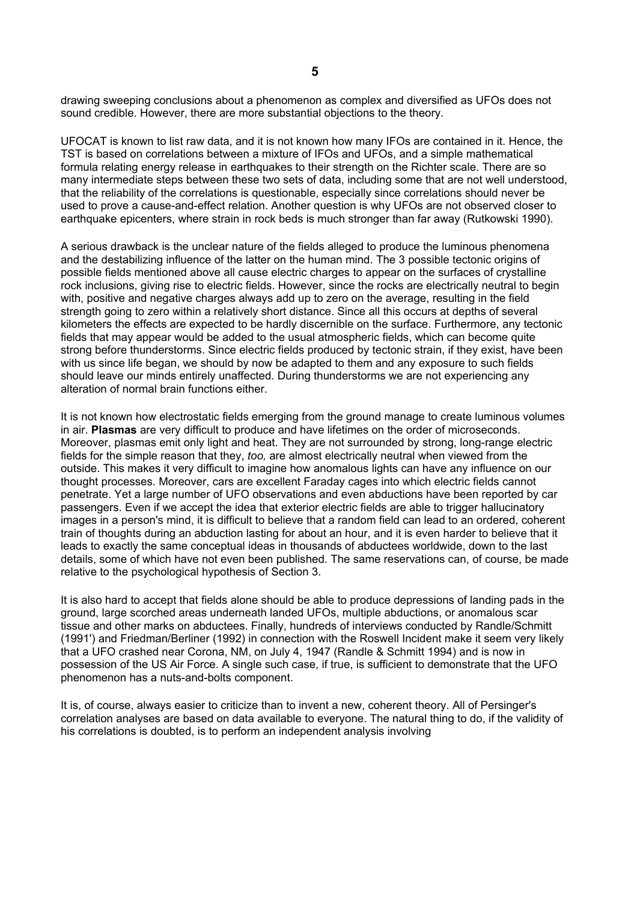drawing sweeping conclusions about a phenomenon as complex and diversified as UFOs does not sound credible. However, there are more substantial objections to the theory.

UFOCAT is known to list raw data, and it is not known how many IFOs are contained in it. Hence, the TST is based on correlations between a mixture of IFOs and UFOs, and a simple mathematical formula relating energy release in earthquakes to their strength on the Richter scale. There are so many intermediate steps between these two sets of data, including some that are not well understood, that the reliability of the correlations is questionable, especially since correlations should never be used to prove a cause-and-effect relation. Another question is why UFOs are not observed closer to earthquake epicenters, where strain in rock beds is much stronger than far away (Rutkowski 1990).

A serious drawback is the unclear nature of the fields alleged to produce the luminous phenomena and the destabilizing influence of the latter on the human mind. The 3 possible tectonic origins of possible fields mentioned above all cause electric charges to appear on the surfaces of crystalline rock inclusions, giving rise to electric fields. However, since the rocks are electrically neutral to begin with, positive and negative charges always add up to zero on the average, resulting in the field strength going to zero within a relatively short distance. Since all this occurs at depths of several kilometers the effects are expected to be hardly discernible on the surface. Furthermore, any tectonic fields that may appear would be added to the usual atmospheric fields, which can become quite strong before thunderstorms. Since electric fields produced by tectonic strain, if they exist, have been with us since life began, we should by now be adapted to them and any exposure to such fields should leave our minds entirely unaffected. During thunderstorms we are not experiencing any alteration of normal brain functions either.

It is not known how electrostatic fields emerging from the ground manage to create luminous volumes in air. **Plasmas** are very difficult to produce and have lifetimes on the order of microseconds. Moreover, plasmas emit only light and heat. They are not surrounded by strong, long-range electric fields for the simple reason that they, *too,* are almost electrically neutral when viewed from the outside. This makes it very difficult to imagine how anomalous lights can have any influence on our thought processes. Moreover, cars are excellent Faraday cages into which electric fields cannot penetrate. Yet a large number of UFO observations and even abductions have been reported by car passengers. Even if we accept the idea that exterior electric fields are able to trigger hallucinatory images in a person's mind, it is difficult to believe that a random field can lead to an ordered, coherent train of thoughts during an abduction lasting for about an hour, and it is even harder to believe that it leads to exactly the same conceptual ideas in thousands of abductees worldwide, down to the last details, some of which have not even been published. The same reservations can, of course, be made relative to the psychological hypothesis of Section 3.

It is also hard to accept that fields alone should be able to produce depressions of landing pads in the ground, large scorched areas underneath landed UFOs, multiple abductions, or anomalous scar tissue and other marks on abductees. Finally, hundreds of interviews conducted by Randle/Schmitt (1991') and Friedman/Berliner (1992) in connection with the Roswell Incident make it seem very likely that a UFO crashed near Corona, NM, on July 4, 1947 (Randle & Schmitt 1994) and is now in possession of the US Air Force. A single such case, if true, is sufficient to demonstrate that the UFO phenomenon has a nuts-and-bolts component.

It is, of course, always easier to criticize than to invent a new, coherent theory. All of Persinger's correlation analyses are based on data available to everyone. The natural thing to do, if the validity of his correlations is doubted, is to perform an independent analysis involving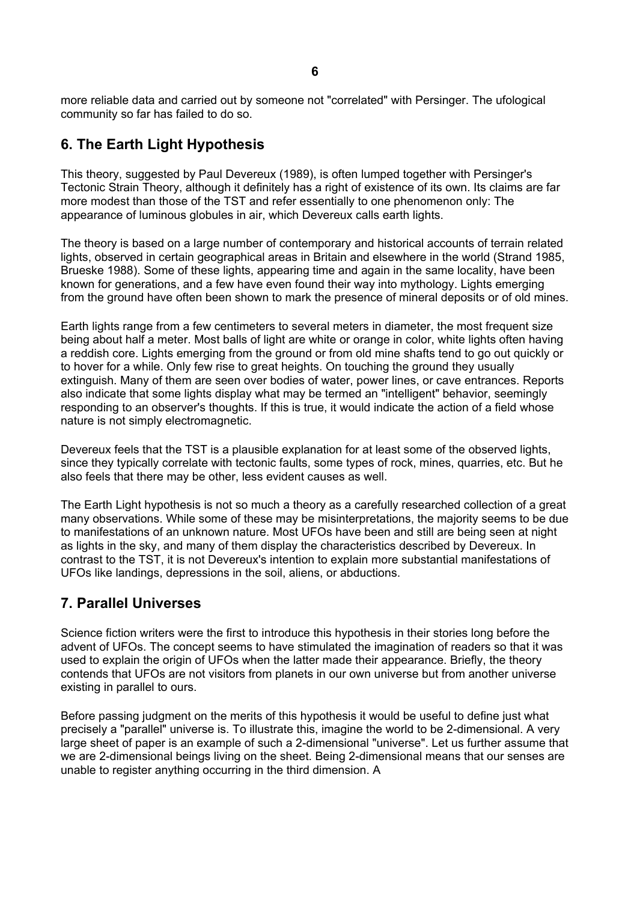more reliable data and carried out by someone not "correlated" with Persinger. The ufological community so far has failed to do so.

# **6. The Earth Light Hypothesis**

This theory, suggested by Paul Devereux (1989), is often lumped together with Persinger's Tectonic Strain Theory, although it definitely has a right of existence of its own. Its claims are far more modest than those of the TST and refer essentially to one phenomenon only: The appearance of luminous globules in air, which Devereux calls earth lights.

The theory is based on a large number of contemporary and historical accounts of terrain related lights, observed in certain geographical areas in Britain and elsewhere in the world (Strand 1985, Brueske 1988). Some of these lights, appearing time and again in the same locality, have been known for generations, and a few have even found their way into mythology. Lights emerging from the ground have often been shown to mark the presence of mineral deposits or of old mines.

Earth lights range from a few centimeters to several meters in diameter, the most frequent size being about half a meter. Most balls of light are white or orange in color, white lights often having a reddish core. Lights emerging from the ground or from old mine shafts tend to go out quickly or to hover for a while. Only few rise to great heights. On touching the ground they usually extinguish. Many of them are seen over bodies of water, power lines, or cave entrances. Reports also indicate that some lights display what may be termed an "intelligent" behavior, seemingly responding to an observer's thoughts. If this is true, it would indicate the action of a field whose nature is not simply electromagnetic.

Devereux feels that the TST is a plausible explanation for at least some of the observed lights, since they typically correlate with tectonic faults, some types of rock, mines, quarries, etc. But he also feels that there may be other, less evident causes as well.

The Earth Light hypothesis is not so much a theory as a carefully researched collection of a great many observations. While some of these may be misinterpretations, the majority seems to be due to manifestations of an unknown nature. Most UFOs have been and still are being seen at night as lights in the sky, and many of them display the characteristics described by Devereux. In contrast to the TST, it is not Devereux's intention to explain more substantial manifestations of UFOs like landings, depressions in the soil, aliens, or abductions.

## **7. Parallel Universes**

Science fiction writers were the first to introduce this hypothesis in their stories long before the advent of UFOs. The concept seems to have stimulated the imagination of readers so that it was used to explain the origin of UFOs when the latter made their appearance. Briefly, the theory contends that UFOs are not visitors from planets in our own universe but from another universe existing in parallel to ours.

Before passing judgment on the merits of this hypothesis it would be useful to define just what precisely a "parallel" universe is. To illustrate this, imagine the world to be 2-dimensional. A very large sheet of paper is an example of such a 2-dimensional "universe". Let us further assume that we are 2-dimensional beings living on the sheet. Being 2-dimensional means that our senses are unable to register anything occurring in the third dimension. A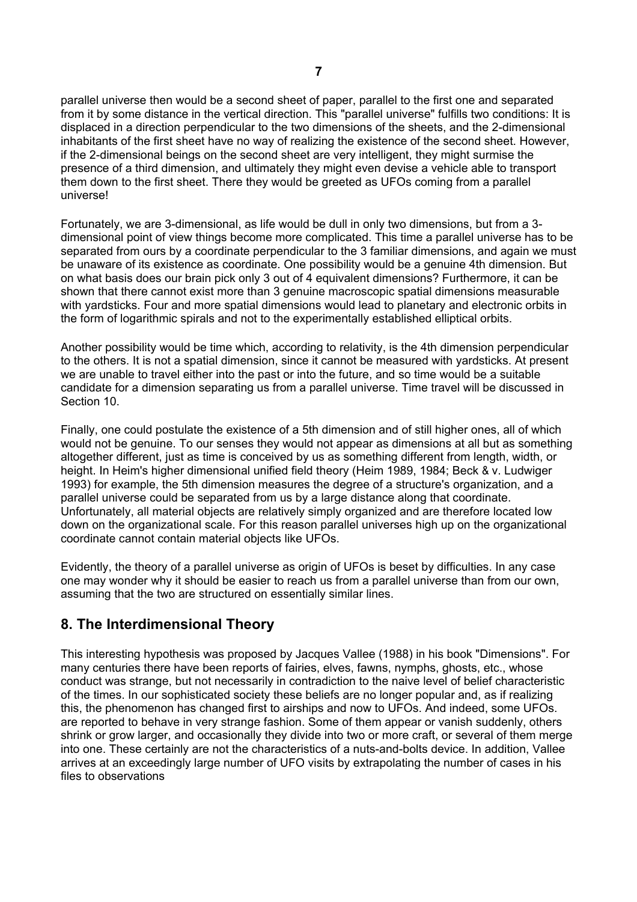parallel universe then would be a second sheet of paper, parallel to the first one and separated from it by some distance in the vertical direction. This "parallel universe" fulfills two conditions: It is displaced in a direction perpendicular to the two dimensions of the sheets, and the 2-dimensional inhabitants of the first sheet have no way of realizing the existence of the second sheet. However, if the 2-dimensional beings on the second sheet are very intelligent, they might surmise the presence of a third dimension, and ultimately they might even devise a vehicle able to transport them down to the first sheet. There they would be greeted as UFOs coming from a parallel universe!

Fortunately, we are 3-dimensional, as life would be dull in only two dimensions, but from a 3 dimensional point of view things become more complicated. This time a parallel universe has to be separated from ours by a coordinate perpendicular to the 3 familiar dimensions, and again we must be unaware of its existence as coordinate. One possibility would be a genuine 4th dimension. But on what basis does our brain pick only 3 out of 4 equivalent dimensions? Furthermore, it can be shown that there cannot exist more than 3 genuine macroscopic spatial dimensions measurable with yardsticks. Four and more spatial dimensions would lead to planetary and electronic orbits in the form of logarithmic spirals and not to the experimentally established elliptical orbits.

Another possibility would be time which, according to relativity, is the 4th dimension perpendicular to the others. It is not a spatial dimension, since it cannot be measured with yardsticks. At present we are unable to travel either into the past or into the future, and so time would be a suitable candidate for a dimension separating us from a parallel universe. Time travel will be discussed in Section 10.

Finally, one could postulate the existence of a 5th dimension and of still higher ones, all of which would not be genuine. To our senses they would not appear as dimensions at all but as something altogether different, just as time is conceived by us as something different from length, width, or height. In Heim's higher dimensional unified field theory (Heim 1989, 1984; Beck & v. Ludwiger 1993) for example, the 5th dimension measures the degree of a structure's organization, and a parallel universe could be separated from us by a large distance along that coordinate. Unfortunately, all material objects are relatively simply organized and are therefore located low down on the organizational scale. For this reason parallel universes high up on the organizational coordinate cannot contain material objects like UFOs.

Evidently, the theory of a parallel universe as origin of UFOs is beset by difficulties. In any case one may wonder why it should be easier to reach us from a parallel universe than from our own, assuming that the two are structured on essentially similar lines.

## **8. The Interdimensional Theory**

This interesting hypothesis was proposed by Jacques Vallee (1988) in his book "Dimensions". For many centuries there have been reports of fairies, elves, fawns, nymphs, ghosts, etc., whose conduct was strange, but not necessarily in contradiction to the naive level of belief characteristic of the times. In our sophisticated society these beliefs are no longer popular and, as if realizing this, the phenomenon has changed first to airships and now to UFOs. And indeed, some UFOs. are reported to behave in very strange fashion. Some of them appear or vanish suddenly, others shrink or grow larger, and occasionally they divide into two or more craft, or several of them merge into one. These certainly are not the characteristics of a nuts-and-bolts device. In addition, Vallee arrives at an exceedingly large number of UFO visits by extrapolating the number of cases in his files to observations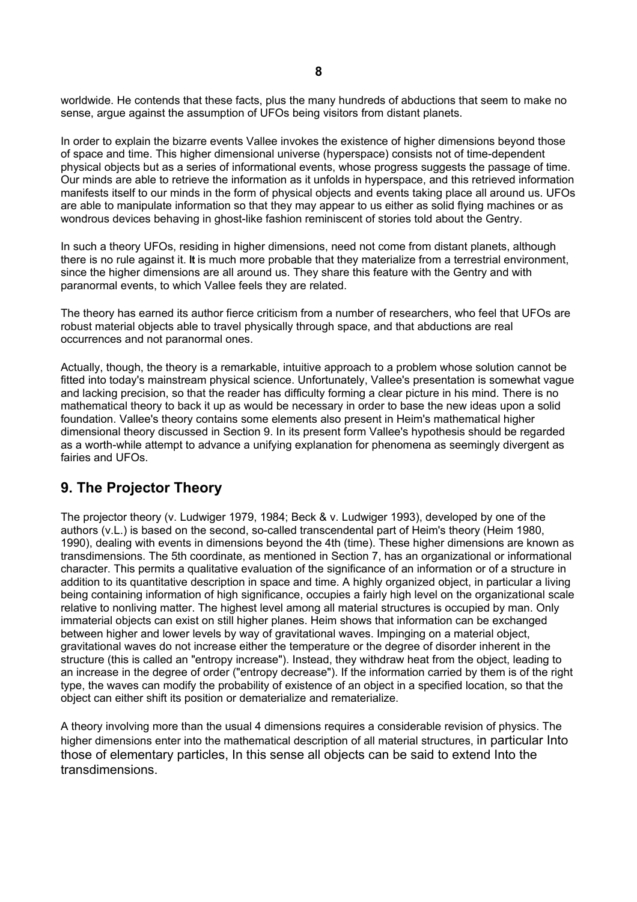worldwide. He contends that these facts, plus the many hundreds of abductions that seem to make no sense, argue against the assumption of UFOs being visitors from distant planets.

In order to explain the bizarre events Vallee invokes the existence of higher dimensions beyond those of space and time. This higher dimensional universe (hyperspace) consists not of time-dependent physical objects but as a series of informational events, whose progress suggests the passage of time. Our minds are able to retrieve the information as it unfolds in hyperspace, and this retrieved information manifests itself to our minds in the form of physical objects and events taking place all around us. UFOs are able to manipulate information so that they may appear to us either as solid flying machines or as wondrous devices behaving in ghost-like fashion reminiscent of stories told about the Gentry.

In such a theory UFOs, residing in higher dimensions, need not come from distant planets, although there is no rule against it. **It** is much more probable that they materialize from a terrestrial environment, since the higher dimensions are all around us. They share this feature with the Gentry and with paranormal events, to which Vallee feels they are related.

The theory has earned its author fierce criticism from a number of researchers, who feel that UFOs are robust material objects able to travel physically through space, and that abductions are real occurrences and not paranormal ones.

Actually, though, the theory is a remarkable, intuitive approach to a problem whose solution cannot be fitted into today's mainstream physical science. Unfortunately, Vallee's presentation is somewhat vague and lacking precision, so that the reader has difficulty forming a clear picture in his mind. There is no mathematical theory to back it up as would be necessary in order to base the new ideas upon a solid foundation. Vallee's theory contains some elements also present in Heim's mathematical higher dimensional theory discussed in Section 9. In its present form Vallee's hypothesis should be regarded as a worth-while attempt to advance a unifying explanation for phenomena as seemingly divergent as fairies and UFOs.

## **9. The Projector Theory**

The projector theory (v. Ludwiger 1979, 1984; Beck & v. Ludwiger 1993), developed by one of the authors (v.L.) is based on the second, so-called transcendental part of Heim's theory (Heim 1980, 1990), dealing with events in dimensions beyond the 4th (time). These higher dimensions are known as transdimensions. The 5th coordinate, as mentioned in Section 7, has an organizational or informational character. This permits a qualitative evaluation of the significance of an information or of a structure in addition to its quantitative description in space and time. A highly organized object, in particular a living being containing information of high significance, occupies a fairly high level on the organizational scale relative to nonliving matter. The highest level among all material structures is occupied by man. Only immaterial objects can exist on still higher planes. Heim shows that information can be exchanged between higher and lower levels by way of gravitational waves. Impinging on a material object, gravitational waves do not increase either the temperature or the degree of disorder inherent in the structure (this is called an "entropy increase"). Instead, they withdraw heat from the object, leading to an increase in the degree of order ("entropy decrease"). If the information carried by them is of the right type, the waves can modify the probability of existence of an object in a specified location, so that the object can either shift its position or dematerialize and rematerialize.

A theory involving more than the usual 4 dimensions requires a considerable revision of physics. The higher dimensions enter into the mathematical description of all material structures, in particular Into those of elementary particles, In this sense all objects can be said to extend Into the transdimensions.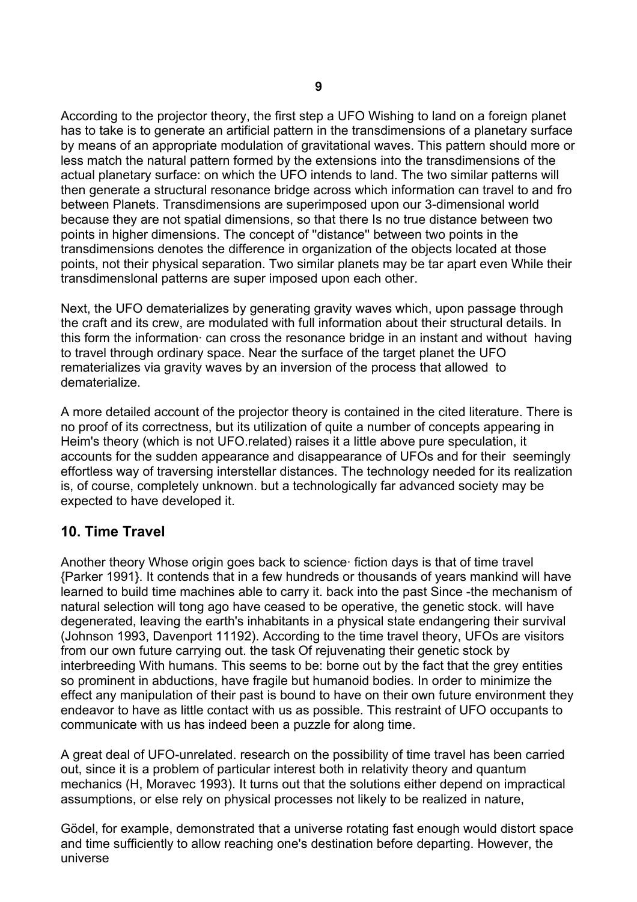According to the projector theory, the first step a UFO Wishing to land on a foreign planet has to take is to generate an artificial pattern in the transdimensions of a planetary surface by means of an appropriate modulation of gravitational waves. This pattern should more or less match the natural pattern formed by the extensions into the transdimensions of the actual planetary surface: on which the UFO intends to land. The two similar patterns will then generate a structural resonance bridge across which information can travel to and fro between Planets. Transdimensions are superimposed upon our 3-dimensional world because they are not spatial dimensions, so that there Is no true distance between two points in higher dimensions. The concept of ''distance'' between two points in the transdimensions denotes the difference in organization of the objects located at those points, not their physical separation. Two similar planets may be tar apart even While their transdimenslonal patterns are super imposed upon each other.

Next, the UFO dematerializes by generating gravity waves which, upon passage through the craft and its crew, are modulated with full information about their structural details. In this form the information· can cross the resonance bridge in an instant and without having to travel through ordinary space. Near the surface of the target planet the UFO rematerializes via gravity waves by an inversion of the process that allowed to dematerialize.

A more detailed account of the projector theory is contained in the cited literature. There is no proof of its correctness, but its utilization of quite a number of concepts appearing in Heim's theory (which is not UFO.related) raises it a little above pure speculation, it accounts for the sudden appearance and disappearance of UFOs and for their seemingly effortless way of traversing interstellar distances. The technology needed for its realization is, of course, completely unknown. but a technologically far advanced society may be expected to have developed it.

## **10. Time Travel**

Another theory Whose origin goes back to science· fiction days is that of time travel {Parker 1991}. It contends that in a few hundreds or thousands of years mankind will have learned to build time machines able to carry it. back into the past Since -the mechanism of natural selection will tong ago have ceased to be operative, the genetic stock. will have degenerated, leaving the earth's inhabitants in a physical state endangering their survival (Johnson 1993, Davenport 11192). According to the time travel theory, UFOs are visitors from our own future carrying out. the task Of rejuvenating their genetic stock by interbreeding With humans. This seems to be: borne out by the fact that the grey entities so prominent in abductions, have fragile but humanoid bodies. In order to minimize the effect any manipulation of their past is bound to have on their own future environment they endeavor to have as little contact with us as possible. This restraint of UFO occupants to communicate with us has indeed been a puzzle for along time.

A great deal of UFO-unrelated. research on the possibility of time travel has been carried out, since it is a problem of particular interest both in relativity theory and quantum mechanics (H, Moravec 1993). It turns out that the solutions either depend on impractical assumptions, or else rely on physical processes not likely to be realized in nature,

Gödel, for example, demonstrated that a universe rotating fast enough would distort space and time sufficiently to allow reaching one's destination before departing. However, the universe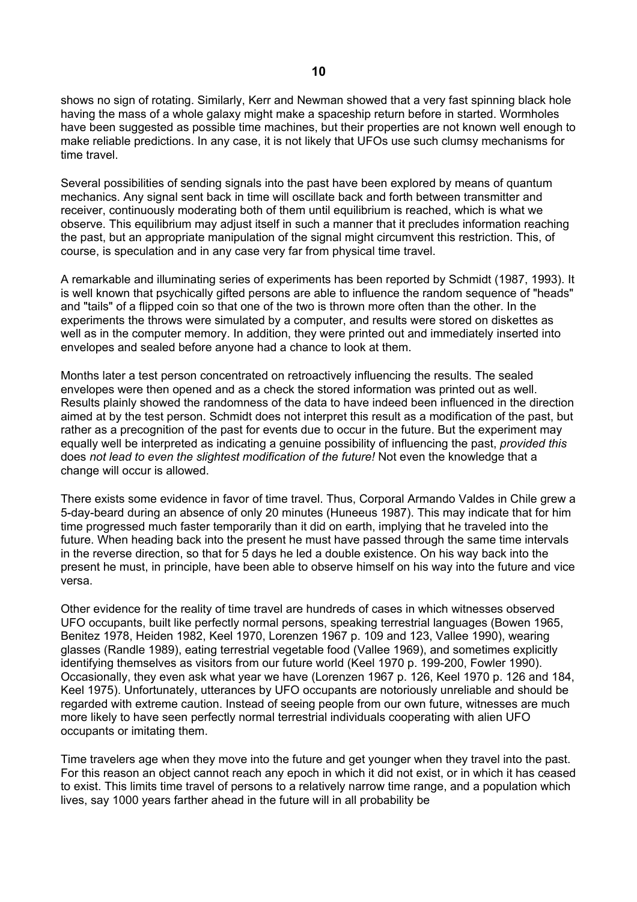shows no sign of rotating. Similarly, Kerr and Newman showed that a very fast spinning black hole having the mass of a whole galaxy might make a spaceship return before in started. Wormholes have been suggested as possible time machines, but their properties are not known well enough to make reliable predictions. In any case, it is not likely that UFOs use such clumsy mechanisms for time travel.

Several possibilities of sending signals into the past have been explored by means of quantum mechanics. Any signal sent back in time will oscillate back and forth between transmitter and receiver, continuously moderating both of them until equilibrium is reached, which is what we observe. This equilibrium may adjust itself in such a manner that it precludes information reaching the past, but an appropriate manipulation of the signal might circumvent this restriction. This, of course, is speculation and in any case very far from physical time travel.

A remarkable and illuminating series of experiments has been reported by Schmidt (1987, 1993). It is well known that psychically gifted persons are able to influence the random sequence of "heads" and "tails" of a flipped coin so that one of the two is thrown more often than the other. In the experiments the throws were simulated by a computer, and results were stored on diskettes as well as in the computer memory. In addition, they were printed out and immediately inserted into envelopes and sealed before anyone had a chance to look at them.

Months later a test person concentrated on retroactively influencing the results. The sealed envelopes were then opened and as a check the stored information was printed out as well. Results plainly showed the randomness of the data to have indeed been influenced in the direction aimed at by the test person. Schmidt does not interpret this result as a modification of the past, but rather as a precognition of the past for events due to occur in the future. But the experiment may equally well be interpreted as indicating a genuine possibility of influencing the past, *provided this*  does *not lead to even the slightest modification of the future!* Not even the knowledge that a change will occur is allowed.

There exists some evidence in favor of time travel. Thus, Corporal Armando Valdes in Chile grew a 5-day-beard during an absence of only 20 minutes (Huneeus 1987). This may indicate that for him time progressed much faster temporarily than it did on earth, implying that he traveled into the future. When heading back into the present he must have passed through the same time intervals in the reverse direction, so that for 5 days he led a double existence. On his way back into the present he must, in principle, have been able to observe himself on his way into the future and vice versa.

Other evidence for the reality of time travel are hundreds of cases in which witnesses observed UFO occupants, built like perfectly normal persons, speaking terrestrial languages (Bowen 1965, Benitez 1978, Heiden 1982, Keel 1970, Lorenzen 1967 p. 109 and 123, Vallee 1990), wearing glasses (Randle 1989), eating terrestrial vegetable food (Vallee 1969), and sometimes explicitly identifying themselves as visitors from our future world (Keel 1970 p. 199-200, Fowler 1990). Occasionally, they even ask what year we have (Lorenzen 1967 p. 126, Keel 1970 p. 126 and 184, Keel 1975). Unfortunately, utterances by UFO occupants are notoriously unreliable and should be regarded with extreme caution. Instead of seeing people from our own future, witnesses are much more likely to have seen perfectly normal terrestrial individuals cooperating with alien UFO occupants or imitating them.

Time travelers age when they move into the future and get younger when they travel into the past. For this reason an object cannot reach any epoch in which it did not exist, or in which it has ceased to exist. This limits time travel of persons to a relatively narrow time range, and a population which lives, say 1000 years farther ahead in the future will in all probability be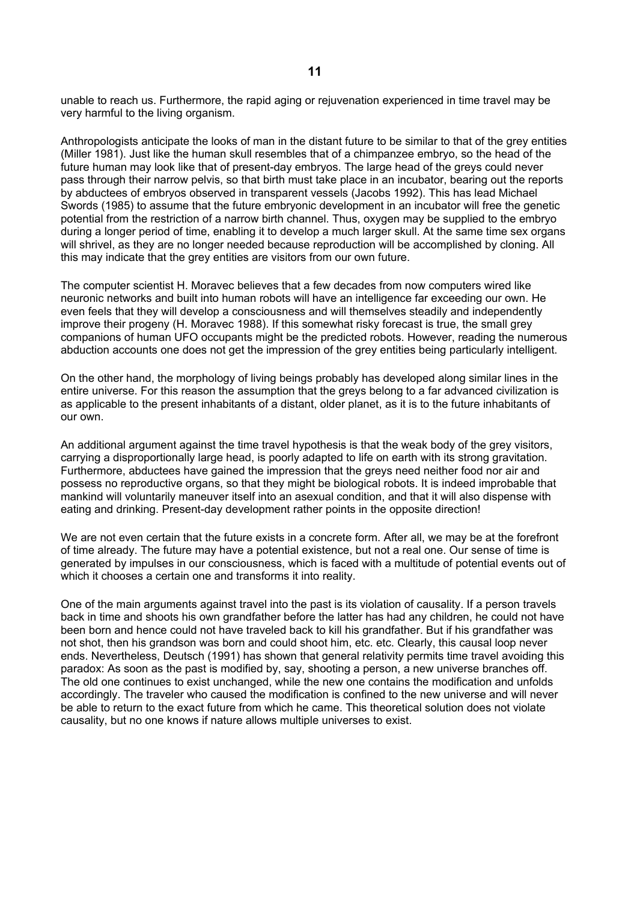unable to reach us. Furthermore, the rapid aging or rejuvenation experienced in time travel may be very harmful to the living organism.

Anthropologists anticipate the looks of man in the distant future to be similar to that of the grey entities (Miller 1981). Just like the human skull resembles that of a chimpanzee embryo, so the head of the future human may look like that of present-day embryos. The large head of the greys could never pass through their narrow pelvis, so that birth must take place in an incubator, bearing out the reports by abductees of embryos observed in transparent vessels (Jacobs 1992). This has lead Michael Swords (1985) to assume that the future embryonic development in an incubator will free the genetic potential from the restriction of a narrow birth channel. Thus, oxygen may be supplied to the embryo during a longer period of time, enabling it to develop a much larger skull. At the same time sex organs will shrivel, as they are no longer needed because reproduction will be accomplished by cloning. All this may indicate that the grey entities are visitors from our own future.

The computer scientist H. Moravec believes that a few decades from now computers wired like neuronic networks and built into human robots will have an intelligence far exceeding our own. He even feels that they will develop a consciousness and will themselves steadily and independently improve their progeny (H. Moravec 1988). If this somewhat risky forecast is true, the small grey companions of human UFO occupants might be the predicted robots. However, reading the numerous abduction accounts one does not get the impression of the grey entities being particularly intelligent.

On the other hand, the morphology of living beings probably has developed along similar lines in the entire universe. For this reason the assumption that the greys belong to a far advanced civilization is as applicable to the present inhabitants of a distant, older planet, as it is to the future inhabitants of our own.

An additional argument against the time travel hypothesis is that the weak body of the grey visitors, carrying a disproportionally large head, is poorly adapted to life on earth with its strong gravitation. Furthermore, abductees have gained the impression that the greys need neither food nor air and possess no reproductive organs, so that they might be biological robots. It is indeed improbable that mankind will voluntarily maneuver itself into an asexual condition, and that it will also dispense with eating and drinking. Present-day development rather points in the opposite direction!

We are not even certain that the future exists in a concrete form. After all, we may be at the forefront of time already. The future may have a potential existence, but not a real one. Our sense of time is generated by impulses in our consciousness, which is faced with a multitude of potential events out of which it chooses a certain one and transforms it into reality.

One of the main arguments against travel into the past is its violation of causality. If a person travels back in time and shoots his own grandfather before the latter has had any children, he could not have been born and hence could not have traveled back to kill his grandfather. But if his grandfather was not shot, then his grandson was born and could shoot him, etc. etc. Clearly, this causal loop never ends. Nevertheless, Deutsch (1991) has shown that general relativity permits time travel avoiding this paradox: As soon as the past is modified by, say, shooting a person, a new universe branches off. The old one continues to exist unchanged, while the new one contains the modification and unfolds accordingly. The traveler who caused the modification is confined to the new universe and will never be able to return to the exact future from which he came. This theoretical solution does not violate causality, but no one knows if nature allows multiple universes to exist.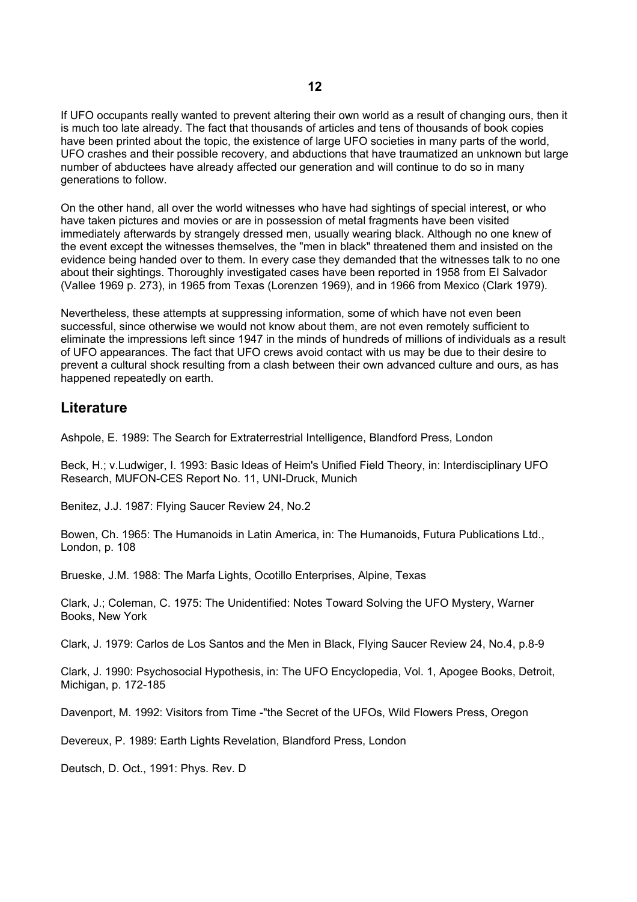If UFO occupants really wanted to prevent altering their own world as a result of changing ours, then it is much too late already. The fact that thousands of articles and tens of thousands of book copies have been printed about the topic, the existence of large UFO societies in many parts of the world, UFO crashes and their possible recovery, and abductions that have traumatized an unknown but large number of abductees have already affected our generation and will continue to do so in many generations to follow.

On the other hand, all over the world witnesses who have had sightings of special interest, or who have taken pictures and movies or are in possession of metal fragments have been visited immediately afterwards by strangely dressed men, usually wearing black. Although no one knew of the event except the witnesses themselves, the "men in black" threatened them and insisted on the evidence being handed over to them. In every case they demanded that the witnesses talk to no one about their sightings. Thoroughly investigated cases have been reported in 1958 from EI Salvador (Vallee 1969 p. 273), in 1965 from Texas (Lorenzen 1969), and in 1966 from Mexico (Clark 1979).

Nevertheless, these attempts at suppressing information, some of which have not even been successful, since otherwise we would not know about them, are not even remotely sufficient to eliminate the impressions left since 1947 in the minds of hundreds of millions of individuals as a result of UFO appearances. The fact that UFO crews avoid contact with us may be due to their desire to prevent a cultural shock resulting from a clash between their own advanced culture and ours, as has happened repeatedly on earth.

#### **Literature**

Ashpole, E. 1989: The Search for Extraterrestrial Intelligence, Blandford Press, London

Beck, H.; v.Ludwiger, I. 1993: Basic Ideas of Heim's Unified Field Theory, in: Interdisciplinary UFO Research, MUFON-CES Report No. 11, UNI-Druck, Munich

Benitez, J.J. 1987: Flying Saucer Review 24, No.2

Bowen, Ch. 1965: The Humanoids in Latin America, in: The Humanoids, Futura Publications Ltd., London, p. 108

Brueske, J.M. 1988: The Marfa Lights, Ocotillo Enterprises, Alpine, Texas

Clark, J.; Coleman, C. 1975: The Unidentified: Notes Toward Solving the UFO Mystery, Warner Books, New York

Clark, J. 1979: Carlos de Los Santos and the Men in Black, Flying Saucer Review 24, No.4, p.8-9

Clark, J. 1990: Psychosocial Hypothesis, in: The UFO Encyclopedia, Vol. 1, Apogee Books, Detroit, Michigan, p. 172-185

Davenport, M. 1992: Visitors from Time -"the Secret of the UFOs, Wild Flowers Press, Oregon

Devereux, P. 1989: Earth Lights Revelation, Blandford Press, London

Deutsch, D. Oct., 1991: Phys. Rev. D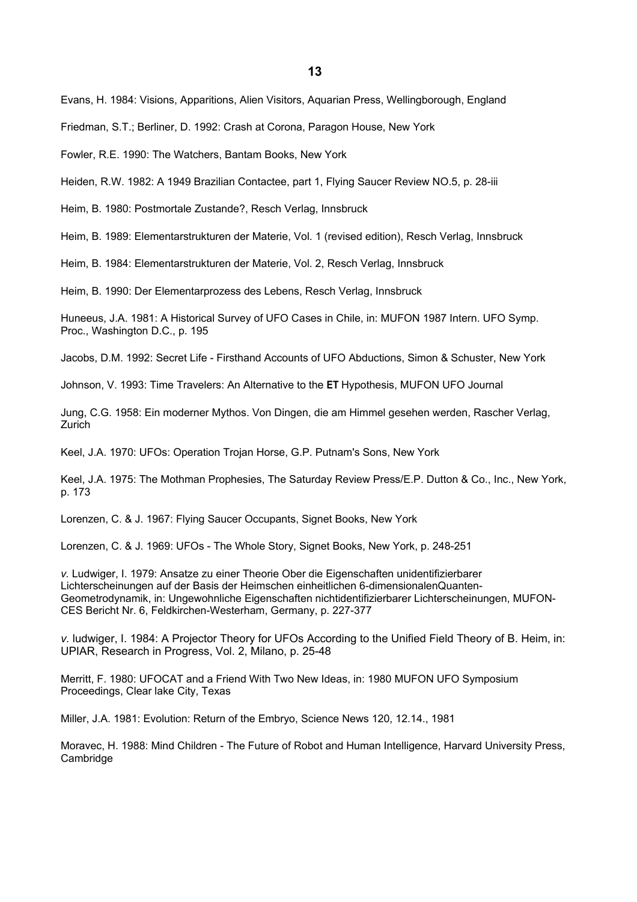Evans, H. 1984: Visions, Apparitions, Alien Visitors, Aquarian Press, Wellingborough, England

Friedman, S.T.; Berliner, D. 1992: Crash at Corona, Paragon House, New York

Fowler, R.E. 1990: The Watchers, Bantam Books, New York

Heiden, R.W. 1982: A 1949 Brazilian Contactee, part 1, Flying Saucer Review NO.5, p. 28-iii

Heim, B. 1980: Postmortale Zustande?, Resch Verlag, Innsbruck

Heim, B. 1989: Elementarstrukturen der Materie, Vol. 1 (revised edition), Resch Verlag, Innsbruck

Heim, B. 1984: Elementarstrukturen der Materie, Vol. 2, Resch Verlag, Innsbruck

Heim, B. 1990: Der Elementarprozess des Lebens, Resch Verlag, Innsbruck

Huneeus, J.A. 1981: A Historical Survey of UFO Cases in Chile, in: MUFON 1987 Intern. UFO Symp. Proc., Washington D.C., p. 195

Jacobs, D.M. 1992: Secret Life - Firsthand Accounts of UFO Abductions, Simon & Schuster, New York

Johnson, V. 1993: Time Travelers: An Alternative to the **ET** Hypothesis, MUFON UFO Journal

Jung, C.G. 1958: Ein moderner Mythos. Von Dingen, die am Himmel gesehen werden, Rascher Verlag, Zurich

Keel, J.A. 1970: UFOs: Operation Trojan Horse, G.P. Putnam's Sons, New York

Keel, J.A. 1975: The Mothman Prophesies, The Saturday Review Press/E.P. Dutton & Co., Inc., New York, p. 173

Lorenzen, C. & J. 1967: Flying Saucer Occupants, Signet Books, New York

Lorenzen, C. & J. 1969: UFOs - The Whole Story, Signet Books, New York, p. 248-251

*v.* Ludwiger, I. 1979: Ansatze zu einer Theorie Ober die Eigenschaften unidentifizierbarer Lichterscheinungen auf der Basis der Heimschen einheitlichen 6-dimensionalenQuanten-Geometrodynamik, in: Ungewohnliche Eigenschaften nichtidentifizierbarer Lichterscheinungen, MUFON-CES Bericht Nr. 6, Feldkirchen-Westerham, Germany, p. 227-377

*v.* ludwiger, I. 1984: A Projector Theory for UFOs According to the Unified Field Theory of B. Heim, in: UPIAR, Research in Progress, Vol. 2, Milano, p. 25-48

Merritt, F. 1980: UFOCAT and a Friend With Two New Ideas, in: 1980 MUFON UFO Symposium Proceedings, Clear lake City, Texas

Miller, J.A. 1981: Evolution: Return of the Embryo, Science News 120, 12.14., 1981

Moravec, H. 1988: Mind Children - The Future of Robot and Human Intelligence, Harvard University Press, Cambridge